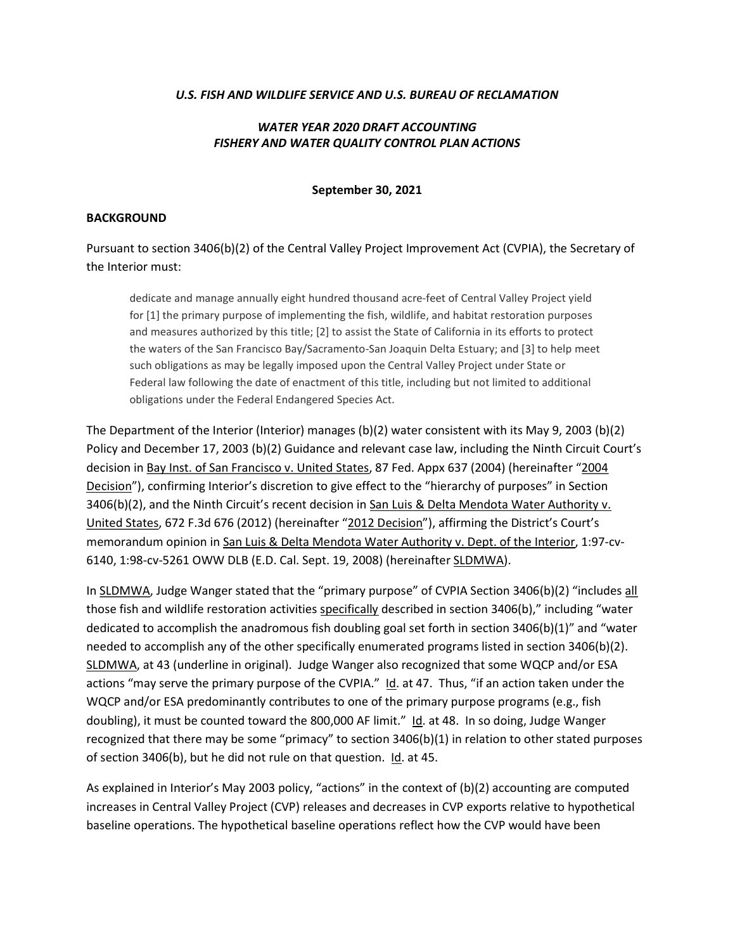#### U.S. FISH AND WILDLIFE SERVICE AND U.S. BUREAU OF RECLAMATION

### WATER YEAR 2020 DRAFT ACCOUNTING FISHERY AND WATER QUALITY CONTROL PLAN ACTIONS

#### September 30, 2021

#### BACKGROUND

Pursuant to section 3406(b)(2) of the Central Valley Project Improvement Act (CVPIA), the Secretary of the Interior must:

dedicate and manage annually eight hundred thousand acre-feet of Central Valley Project yield for [1] the primary purpose of implementing the fish, wildlife, and habitat restoration purposes and measures authorized by this title; [2] to assist the State of California in its efforts to protect the waters of the San Francisco Bay/Sacramento-San Joaquin Delta Estuary; and [3] to help meet such obligations as may be legally imposed upon the Central Valley Project under State or Federal law following the date of enactment of this title, including but not limited to additional obligations under the Federal Endangered Species Act.

The Department of the Interior (Interior) manages (b)(2) water consistent with its May 9, 2003 (b)(2) Policy and December 17, 2003 (b)(2) Guidance and relevant case law, including the Ninth Circuit Court's decision in Bay Inst. of San Francisco v. United States, 87 Fed. Appx 637 (2004) (hereinafter "2004 Decision"), confirming Interior's discretion to give effect to the "hierarchy of purposes" in Section 3406(b)(2), and the Ninth Circuit's recent decision in San Luis & Delta Mendota Water Authority v. United States, 672 F.3d 676 (2012) (hereinafter "2012 Decision"), affirming the District's Court's memorandum opinion in San Luis & Delta Mendota Water Authority v. Dept. of the Interior, 1:97-cv-6140, 1:98-cv-5261 OWW DLB (E.D. Cal. Sept. 19, 2008) (hereinafter SLDMWA).

In SLDMWA, Judge Wanger stated that the "primary purpose" of CVPIA Section 3406(b)(2) "includes all those fish and wildlife restoration activities specifically described in section 3406(b)," including "water dedicated to accomplish the anadromous fish doubling goal set forth in section 3406(b)(1)" and "water needed to accomplish any of the other specifically enumerated programs listed in section 3406(b)(2). SLDMWA, at 43 (underline in original). Judge Wanger also recognized that some WQCP and/or ESA actions "may serve the primary purpose of the CVPIA." Id. at 47. Thus, "if an action taken under the WQCP and/or ESA predominantly contributes to one of the primary purpose programs (e.g., fish doubling), it must be counted toward the 800,000 AF limit." Id. at 48. In so doing, Judge Wanger recognized that there may be some "primacy" to section 3406(b)(1) in relation to other stated purposes of section 3406(b), but he did not rule on that question. Id. at 45.

As explained in Interior's May 2003 policy, "actions" in the context of (b)(2) accounting are computed increases in Central Valley Project (CVP) releases and decreases in CVP exports relative to hypothetical baseline operations. The hypothetical baseline operations reflect how the CVP would have been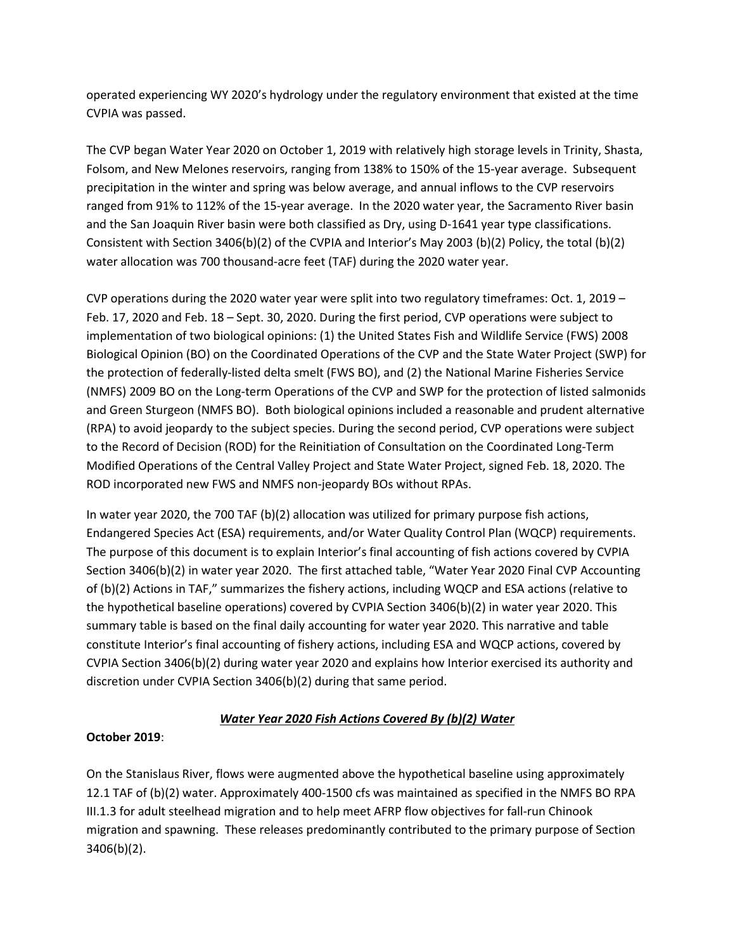operated experiencing WY 2020's hydrology under the regulatory environment that existed at the time CVPIA was passed.

The CVP began Water Year 2020 on October 1, 2019 with relatively high storage levels in Trinity, Shasta, Folsom, and New Melones reservoirs, ranging from 138% to 150% of the 15-year average. Subsequent precipitation in the winter and spring was below average, and annual inflows to the CVP reservoirs ranged from 91% to 112% of the 15-year average. In the 2020 water year, the Sacramento River basin and the San Joaquin River basin were both classified as Dry, using D-1641 year type classifications. Consistent with Section 3406(b)(2) of the CVPIA and Interior's May 2003 (b)(2) Policy, the total (b)(2) water allocation was 700 thousand-acre feet (TAF) during the 2020 water year.

CVP operations during the 2020 water year were split into two regulatory timeframes: Oct. 1, 2019 – Feb. 17, 2020 and Feb. 18 – Sept. 30, 2020. During the first period, CVP operations were subject to implementation of two biological opinions: (1) the United States Fish and Wildlife Service (FWS) 2008 Biological Opinion (BO) on the Coordinated Operations of the CVP and the State Water Project (SWP) for the protection of federally-listed delta smelt (FWS BO), and (2) the National Marine Fisheries Service (NMFS) 2009 BO on the Long-term Operations of the CVP and SWP for the protection of listed salmonids and Green Sturgeon (NMFS BO). Both biological opinions included a reasonable and prudent alternative (RPA) to avoid jeopardy to the subject species. During the second period, CVP operations were subject to the Record of Decision (ROD) for the Reinitiation of Consultation on the Coordinated Long-Term Modified Operations of the Central Valley Project and State Water Project, signed Feb. 18, 2020. The ROD incorporated new FWS and NMFS non-jeopardy BOs without RPAs.

In water year 2020, the 700 TAF (b)(2) allocation was utilized for primary purpose fish actions, Endangered Species Act (ESA) requirements, and/or Water Quality Control Plan (WQCP) requirements. The purpose of this document is to explain Interior's final accounting of fish actions covered by CVPIA Section 3406(b)(2) in water year 2020. The first attached table, "Water Year 2020 Final CVP Accounting of (b)(2) Actions in TAF," summarizes the fishery actions, including WQCP and ESA actions (relative to the hypothetical baseline operations) covered by CVPIA Section 3406(b)(2) in water year 2020. This summary table is based on the final daily accounting for water year 2020. This narrative and table constitute Interior's final accounting of fishery actions, including ESA and WQCP actions, covered by CVPIA Section 3406(b)(2) during water year 2020 and explains how Interior exercised its authority and discretion under CVPIA Section 3406(b)(2) during that same period.

# Water Year 2020 Fish Actions Covered By (b)(2) Water

# October 2019:

On the Stanislaus River, flows were augmented above the hypothetical baseline using approximately 12.1 TAF of (b)(2) water. Approximately 400-1500 cfs was maintained as specified in the NMFS BO RPA III.1.3 for adult steelhead migration and to help meet AFRP flow objectives for fall-run Chinook migration and spawning. These releases predominantly contributed to the primary purpose of Section 3406(b)(2).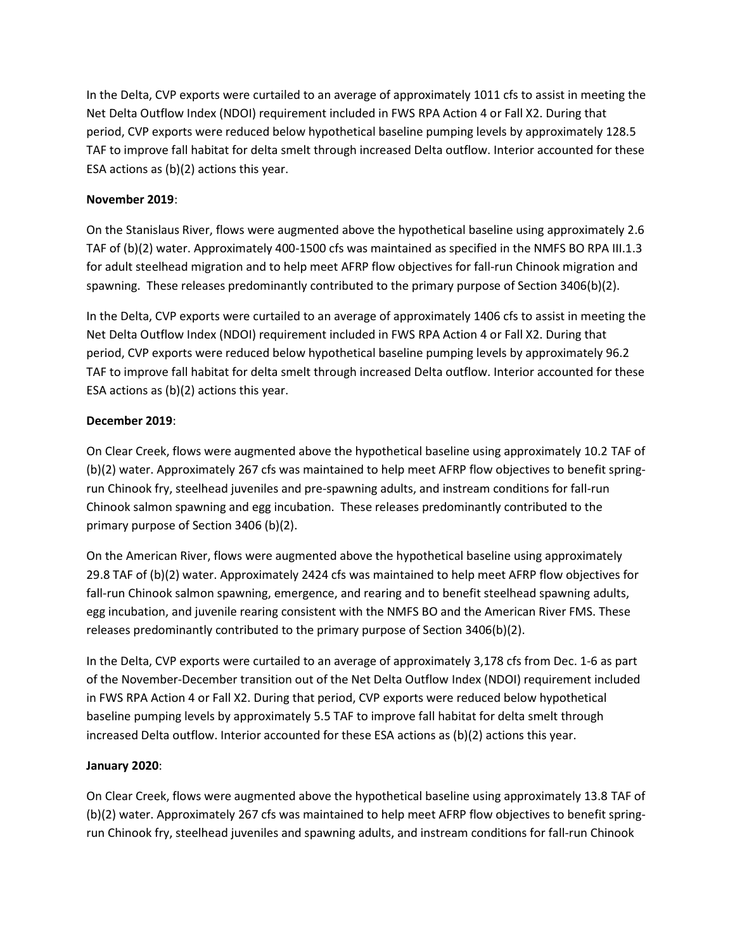In the Delta, CVP exports were curtailed to an average of approximately 1011 cfs to assist in meeting the Net Delta Outflow Index (NDOI) requirement included in FWS RPA Action 4 or Fall X2. During that period, CVP exports were reduced below hypothetical baseline pumping levels by approximately 128.5 TAF to improve fall habitat for delta smelt through increased Delta outflow. Interior accounted for these ESA actions as (b)(2) actions this year.

### November 2019:

On the Stanislaus River, flows were augmented above the hypothetical baseline using approximately 2.6 TAF of (b)(2) water. Approximately 400-1500 cfs was maintained as specified in the NMFS BO RPA III.1.3 for adult steelhead migration and to help meet AFRP flow objectives for fall-run Chinook migration and spawning. These releases predominantly contributed to the primary purpose of Section 3406(b)(2).

In the Delta, CVP exports were curtailed to an average of approximately 1406 cfs to assist in meeting the Net Delta Outflow Index (NDOI) requirement included in FWS RPA Action 4 or Fall X2. During that period, CVP exports were reduced below hypothetical baseline pumping levels by approximately 96.2 TAF to improve fall habitat for delta smelt through increased Delta outflow. Interior accounted for these ESA actions as (b)(2) actions this year.

#### December 2019:

On Clear Creek, flows were augmented above the hypothetical baseline using approximately 10.2 TAF of (b)(2) water. Approximately 267 cfs was maintained to help meet AFRP flow objectives to benefit springrun Chinook fry, steelhead juveniles and pre-spawning adults, and instream conditions for fall-run Chinook salmon spawning and egg incubation. These releases predominantly contributed to the primary purpose of Section 3406 (b)(2).

On the American River, flows were augmented above the hypothetical baseline using approximately 29.8 TAF of (b)(2) water. Approximately 2424 cfs was maintained to help meet AFRP flow objectives for fall-run Chinook salmon spawning, emergence, and rearing and to benefit steelhead spawning adults, egg incubation, and juvenile rearing consistent with the NMFS BO and the American River FMS. These releases predominantly contributed to the primary purpose of Section 3406(b)(2).

In the Delta, CVP exports were curtailed to an average of approximately 3,178 cfs from Dec. 1-6 as part of the November-December transition out of the Net Delta Outflow Index (NDOI) requirement included in FWS RPA Action 4 or Fall X2. During that period, CVP exports were reduced below hypothetical baseline pumping levels by approximately 5.5 TAF to improve fall habitat for delta smelt through increased Delta outflow. Interior accounted for these ESA actions as (b)(2) actions this year.

# January 2020:

On Clear Creek, flows were augmented above the hypothetical baseline using approximately 13.8 TAF of (b)(2) water. Approximately 267 cfs was maintained to help meet AFRP flow objectives to benefit springrun Chinook fry, steelhead juveniles and spawning adults, and instream conditions for fall-run Chinook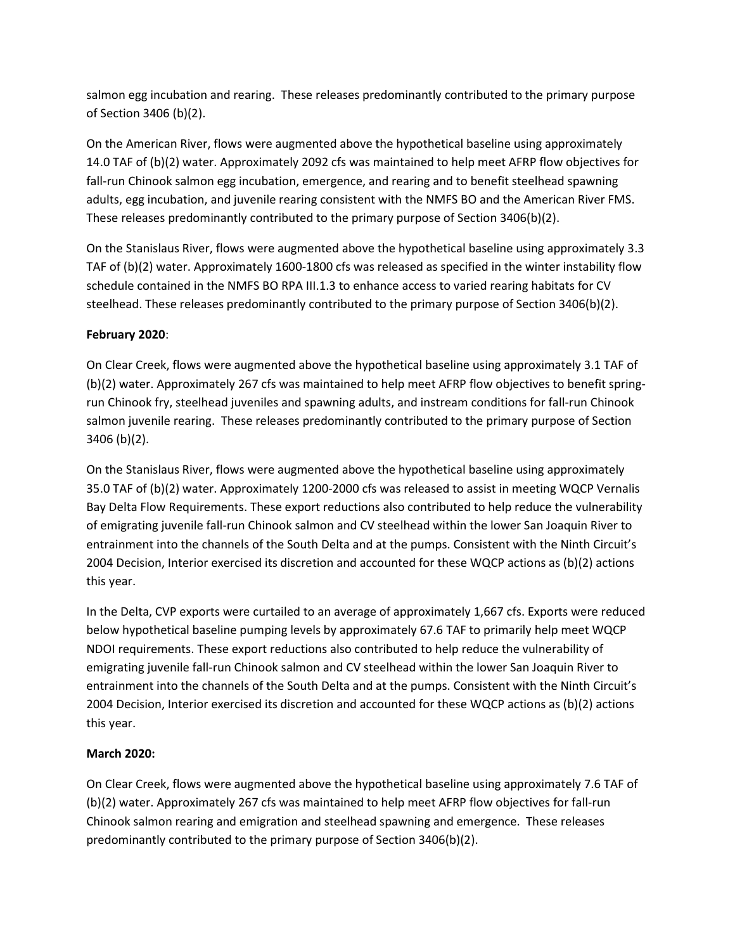salmon egg incubation and rearing. These releases predominantly contributed to the primary purpose of Section 3406 (b)(2).

On the American River, flows were augmented above the hypothetical baseline using approximately 14.0 TAF of (b)(2) water. Approximately 2092 cfs was maintained to help meet AFRP flow objectives for fall-run Chinook salmon egg incubation, emergence, and rearing and to benefit steelhead spawning adults, egg incubation, and juvenile rearing consistent with the NMFS BO and the American River FMS. These releases predominantly contributed to the primary purpose of Section 3406(b)(2).

On the Stanislaus River, flows were augmented above the hypothetical baseline using approximately 3.3 TAF of (b)(2) water. Approximately 1600-1800 cfs was released as specified in the winter instability flow schedule contained in the NMFS BO RPA III.1.3 to enhance access to varied rearing habitats for CV steelhead. These releases predominantly contributed to the primary purpose of Section 3406(b)(2).

# February 2020:

On Clear Creek, flows were augmented above the hypothetical baseline using approximately 3.1 TAF of (b)(2) water. Approximately 267 cfs was maintained to help meet AFRP flow objectives to benefit springrun Chinook fry, steelhead juveniles and spawning adults, and instream conditions for fall-run Chinook salmon juvenile rearing. These releases predominantly contributed to the primary purpose of Section 3406 (b)(2).

On the Stanislaus River, flows were augmented above the hypothetical baseline using approximately 35.0 TAF of (b)(2) water. Approximately 1200-2000 cfs was released to assist in meeting WQCP Vernalis Bay Delta Flow Requirements. These export reductions also contributed to help reduce the vulnerability of emigrating juvenile fall-run Chinook salmon and CV steelhead within the lower San Joaquin River to entrainment into the channels of the South Delta and at the pumps. Consistent with the Ninth Circuit's 2004 Decision, Interior exercised its discretion and accounted for these WQCP actions as (b)(2) actions this year.

In the Delta, CVP exports were curtailed to an average of approximately 1,667 cfs. Exports were reduced below hypothetical baseline pumping levels by approximately 67.6 TAF to primarily help meet WQCP NDOI requirements. These export reductions also contributed to help reduce the vulnerability of emigrating juvenile fall-run Chinook salmon and CV steelhead within the lower San Joaquin River to entrainment into the channels of the South Delta and at the pumps. Consistent with the Ninth Circuit's 2004 Decision, Interior exercised its discretion and accounted for these WQCP actions as (b)(2) actions this year.

# March 2020:

On Clear Creek, flows were augmented above the hypothetical baseline using approximately 7.6 TAF of (b)(2) water. Approximately 267 cfs was maintained to help meet AFRP flow objectives for fall-run Chinook salmon rearing and emigration and steelhead spawning and emergence. These releases predominantly contributed to the primary purpose of Section 3406(b)(2).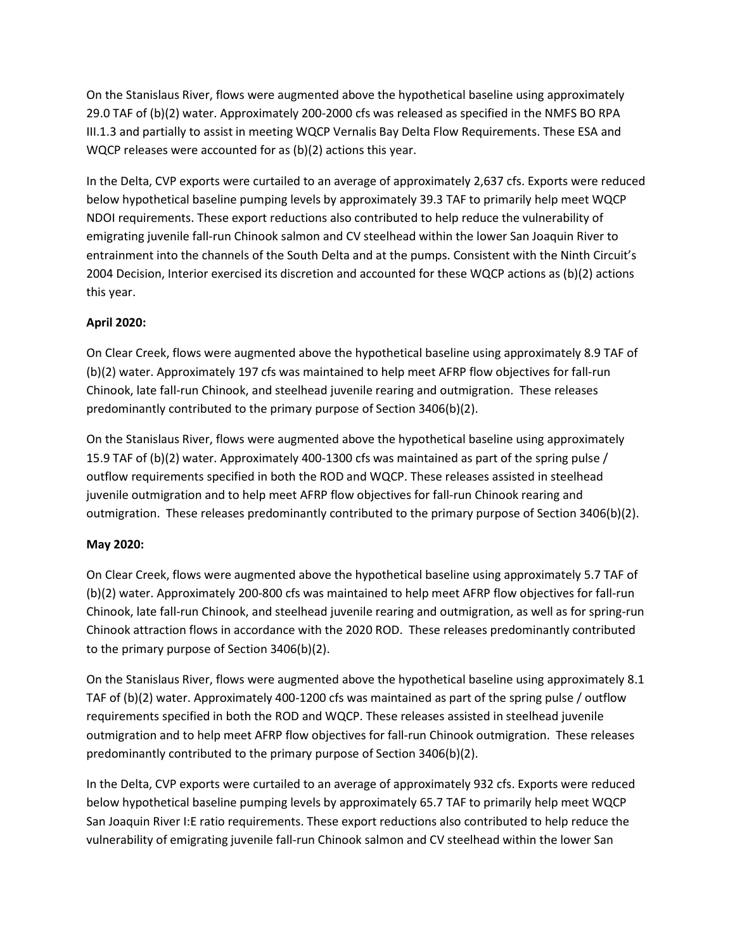On the Stanislaus River, flows were augmented above the hypothetical baseline using approximately 29.0 TAF of (b)(2) water. Approximately 200-2000 cfs was released as specified in the NMFS BO RPA III.1.3 and partially to assist in meeting WQCP Vernalis Bay Delta Flow Requirements. These ESA and WQCP releases were accounted for as (b)(2) actions this year.

In the Delta, CVP exports were curtailed to an average of approximately 2,637 cfs. Exports were reduced below hypothetical baseline pumping levels by approximately 39.3 TAF to primarily help meet WQCP NDOI requirements. These export reductions also contributed to help reduce the vulnerability of emigrating juvenile fall-run Chinook salmon and CV steelhead within the lower San Joaquin River to entrainment into the channels of the South Delta and at the pumps. Consistent with the Ninth Circuit's 2004 Decision, Interior exercised its discretion and accounted for these WQCP actions as (b)(2) actions this year.

# April 2020:

On Clear Creek, flows were augmented above the hypothetical baseline using approximately 8.9 TAF of (b)(2) water. Approximately 197 cfs was maintained to help meet AFRP flow objectives for fall-run Chinook, late fall-run Chinook, and steelhead juvenile rearing and outmigration. These releases predominantly contributed to the primary purpose of Section 3406(b)(2).

On the Stanislaus River, flows were augmented above the hypothetical baseline using approximately 15.9 TAF of (b)(2) water. Approximately 400-1300 cfs was maintained as part of the spring pulse / outflow requirements specified in both the ROD and WQCP. These releases assisted in steelhead juvenile outmigration and to help meet AFRP flow objectives for fall-run Chinook rearing and outmigration. These releases predominantly contributed to the primary purpose of Section 3406(b)(2).

# May 2020:

On Clear Creek, flows were augmented above the hypothetical baseline using approximately 5.7 TAF of (b)(2) water. Approximately 200-800 cfs was maintained to help meet AFRP flow objectives for fall-run Chinook, late fall-run Chinook, and steelhead juvenile rearing and outmigration, as well as for spring-run Chinook attraction flows in accordance with the 2020 ROD. These releases predominantly contributed to the primary purpose of Section 3406(b)(2).

On the Stanislaus River, flows were augmented above the hypothetical baseline using approximately 8.1 TAF of (b)(2) water. Approximately 400-1200 cfs was maintained as part of the spring pulse / outflow requirements specified in both the ROD and WQCP. These releases assisted in steelhead juvenile outmigration and to help meet AFRP flow objectives for fall-run Chinook outmigration. These releases predominantly contributed to the primary purpose of Section 3406(b)(2).

In the Delta, CVP exports were curtailed to an average of approximately 932 cfs. Exports were reduced below hypothetical baseline pumping levels by approximately 65.7 TAF to primarily help meet WQCP San Joaquin River I:E ratio requirements. These export reductions also contributed to help reduce the vulnerability of emigrating juvenile fall-run Chinook salmon and CV steelhead within the lower San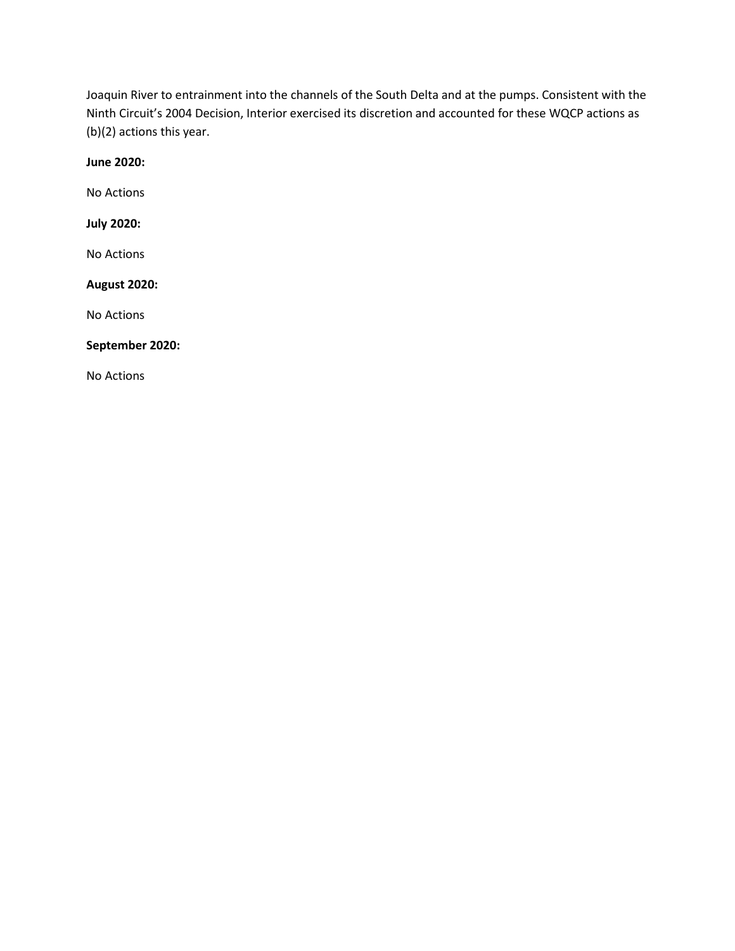Joaquin River to entrainment into the channels of the South Delta and at the pumps. Consistent with the Ninth Circuit's 2004 Decision, Interior exercised its discretion and accounted for these WQCP actions as (b)(2) actions this year.

June 2020:

No Actions

July 2020:

No Actions

#### August 2020:

No Actions

#### September 2020:

No Actions